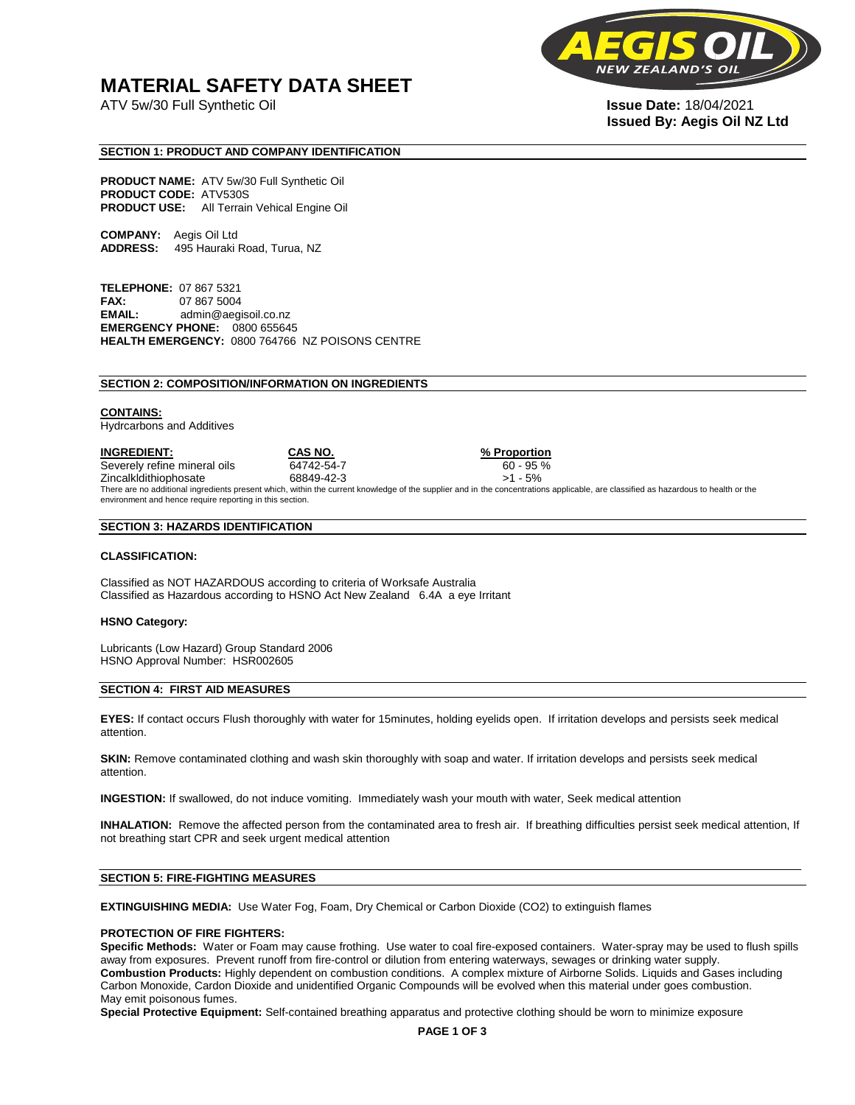## **MATERIAL SAFETY DATA SHEET**

ATV 5w/30 Full Synthetic Oil **Issue Date:** 18/04/2021



# **Issued By: Aegis Oil NZ Ltd**

#### **SECTION 1: PRODUCT AND COMPANY IDENTIFICATION**

**PRODUCT NAME:** ATV 5w/30 Full Synthetic Oil **PRODUCT CODE:** ATV530S **PRODUCT USE:** All Terrain Vehical Engine Oil

**COMPANY:** Aegis Oil Ltd **ADDRESS:** 495 Hauraki Road, Turua, NZ

**TELEPHONE:** 07 867 5321 **FAX:** 07 867 5004 **EMAIL:** admin@aegisoil.co.nz **EMERGENCY PHONE:** 0800 655645 **HEALTH EMERGENCY:** 0800 764766 NZ POISONS CENTRE

#### **SECTION 2: COMPOSITION/INFORMATION ON INGREDIENTS**

#### **CONTAINS:**

Hydrcarbons and Additives

**INGREDIENT: CAS NO. % Proportion**  Severely refine mineral oils 64742-54-7 60 - 95 % Zincalkldithiophosate 68849-42-3 >1 - 5% There are no additional ingredients present which, within the current knowledge of the supplier and in the concentrations applicable, are classified as hazardous to health or the environment and hence require reporting in this section.

#### **SECTION 3: HAZARDS IDENTIFICATION**

#### **CLASSIFICATION:**

Classified as NOT HAZARDOUS according to criteria of Worksafe Australia Classified as Hazardous according to HSNO Act New Zealand 6.4A a eye Irritant

#### **HSNO Category:**

Lubricants (Low Hazard) Group Standard 2006 HSNO Approval Number: HSR002605

#### **SECTION 4: FIRST AID MEASURES**

**EYES:** If contact occurs Flush thoroughly with water for 15minutes, holding eyelids open. If irritation develops and persists seek medical attention.

**SKIN:** Remove contaminated clothing and wash skin thoroughly with soap and water. If irritation develops and persists seek medical attention.

**INGESTION:** If swallowed, do not induce vomiting. Immediately wash your mouth with water, Seek medical attention

**INHALATION:** Remove the affected person from the contaminated area to fresh air. If breathing difficulties persist seek medical attention, If not breathing start CPR and seek urgent medical attention

#### **SECTION 5: FIRE-FIGHTING MEASURES**

**EXTINGUISHING MEDIA:** Use Water Fog, Foam, Dry Chemical or Carbon Dioxide (CO2) to extinguish flames

#### **PROTECTION OF FIRE FIGHTERS:**

**Specific Methods:** Water or Foam may cause frothing. Use water to coal fire-exposed containers. Water-spray may be used to flush spills away from exposures. Prevent runoff from fire-control or dilution from entering waterways, sewages or drinking water supply. **Combustion Products:** Highly dependent on combustion conditions. A complex mixture of Airborne Solids. Liquids and Gases including Carbon Monoxide, Cardon Dioxide and unidentified Organic Compounds will be evolved when this material under goes combustion. May emit poisonous fumes.

**Special Protective Equipment:** Self-contained breathing apparatus and protective clothing should be worn to minimize exposure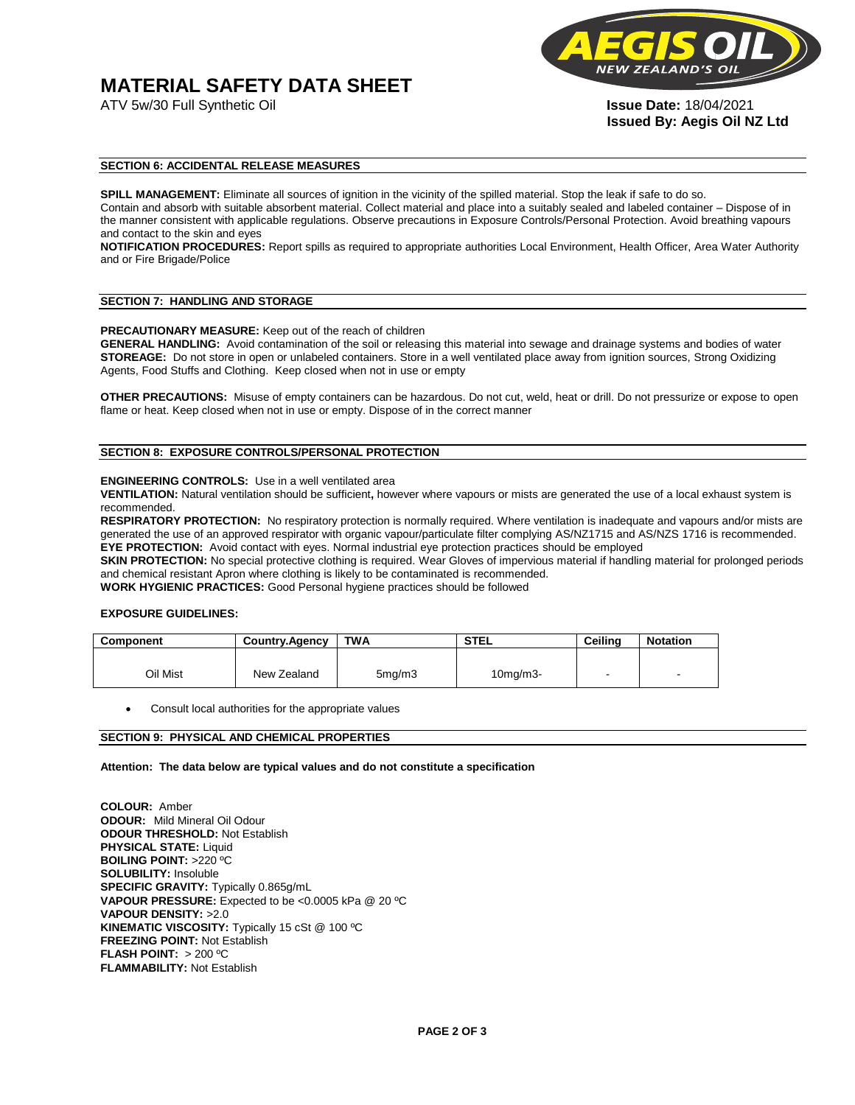# **MATERIAL SAFETY DATA SHEET**



**Issued By: Aegis Oil NZ Ltd** 

#### **SECTION 6: ACCIDENTAL RELEASE MEASURES**

**SPILL MANAGEMENT:** Eliminate all sources of ignition in the vicinity of the spilled material. Stop the leak if safe to do so. Contain and absorb with suitable absorbent material. Collect material and place into a suitably sealed and labeled container – Dispose of in the manner consistent with applicable regulations. Observe precautions in Exposure Controls/Personal Protection. Avoid breathing vapours and contact to the skin and eyes

**NOTIFICATION PROCEDURES:** Report spills as required to appropriate authorities Local Environment, Health Officer, Area Water Authority and or Fire Brigade/Police

#### **SECTION 7: HANDLING AND STORAGE**

**PRECAUTIONARY MEASURE:** Keep out of the reach of children

**GENERAL HANDLING:** Avoid contamination of the soil or releasing this material into sewage and drainage systems and bodies of water **STOREAGE:** Do not store in open or unlabeled containers. Store in a well ventilated place away from ignition sources, Strong Oxidizing Agents, Food Stuffs and Clothing. Keep closed when not in use or empty

**OTHER PRECAUTIONS:** Misuse of empty containers can be hazardous. Do not cut, weld, heat or drill. Do not pressurize or expose to open flame or heat. Keep closed when not in use or empty. Dispose of in the correct manner

#### **SECTION 8: EXPOSURE CONTROLS/PERSONAL PROTECTION**

#### **ENGINEERING CONTROLS:** Use in a well ventilated area

**VENTILATION:** Natural ventilation should be sufficient**,** however where vapours or mists are generated the use of a local exhaust system is recommended.

**RESPIRATORY PROTECTION:** No respiratory protection is normally required. Where ventilation is inadequate and vapours and/or mists are generated the use of an approved respirator with organic vapour/particulate filter complying AS/NZ1715 and AS/NZS 1716 is recommended. **EYE PROTECTION:** Avoid contact with eyes. Normal industrial eye protection practices should be employed

**SKIN PROTECTION:** No special protective clothing is required. Wear Gloves of impervious material if handling material for prolonged periods and chemical resistant Apron where clothing is likely to be contaminated is recommended.

**WORK HYGIENIC PRACTICES:** Good Personal hygiene practices should be followed

#### **EXPOSURE GUIDELINES:**

| <b>Component</b> | <b>Country.Agency</b> | <b>TWA</b>          | <b>STEL</b>    | Ceilina | <b>Notation</b>          |
|------------------|-----------------------|---------------------|----------------|---------|--------------------------|
|                  |                       |                     |                |         |                          |
| Oil Mist         | New Zealand           | 5 <sub>mq</sub> /m3 | $10$ mg/m $3-$ |         | $\overline{\phantom{a}}$ |

Consult local authorities for the appropriate values

#### **SECTION 9: PHYSICAL AND CHEMICAL PROPERTIES**

**Attention: The data below are typical values and do not constitute a specification** 

**COLOUR:** Amber **ODOUR:** Mild Mineral Oil Odour **ODOUR THRESHOLD:** Not Establish **PHYSICAL STATE:** Liquid **BOILING POINT:** >220 ºC **SOLUBILITY:** Insoluble **SPECIFIC GRAVITY:** Typically 0.865g/mL **VAPOUR PRESSURE:** Expected to be <0.0005 kPa @ 20 ºC **VAPOUR DENSITY:** >2.0 **KINEMATIC VISCOSITY:** Typically 15 cSt @ 100 ºC **FREEZING POINT: Not Establish FLASH POINT:** > 200 ºC **FLAMMABILITY:** Not Establish